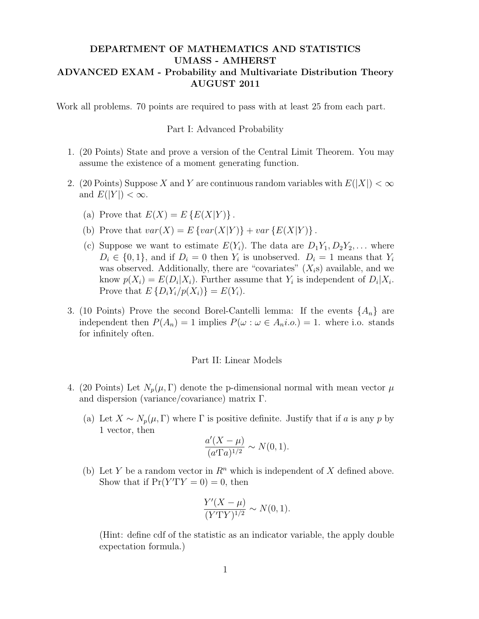## DEPARTMENT OF MATHEMATICS AND STATISTICS UMASS - AMHERST ADVANCED EXAM - Probability and Multivariate Distribution Theory AUGUST 2011

Work all problems. 70 points are required to pass with at least 25 from each part.

Part I: Advanced Probability

- 1. (20 Points) State and prove a version of the Central Limit Theorem. You may assume the existence of a moment generating function.
- 2. (20 Points) Suppose X and Y are continuous random variables with  $E(|X|) < \infty$ and  $E(|Y|) < \infty$ .
	- (a) Prove that  $E(X) = E\left\{E(X|Y)\right\}$ .
	- (b) Prove that  $var(X) = E \{ var(X|Y) \} + var \{ E(X|Y) \}$ .
	- (c) Suppose we want to estimate  $E(Y_i)$ . The data are  $D_1Y_1, D_2Y_2, \ldots$  where  $D_i \in \{0,1\}$ , and if  $D_i = 0$  then  $Y_i$  is unobserved.  $D_i = 1$  means that  $Y_i$ was observed. Additionally, there are "covariates"  $(X_i)$  available, and we know  $p(X_i) = E(D_i | X_i)$ . Further assume that  $Y_i$  is independent of  $D_i | X_i$ . Prove that  $E\left\{D_iY_i/p(X_i)\right\} = E(Y_i)$ .
- 3. (10 Points) Prove the second Borel-Cantelli lemma: If the events  $\{A_n\}$  are independent then  $P(A_n) = 1$  implies  $P(\omega : \omega \in A_n i.o.) = 1$ . where i.o. stands for infinitely often.

## Part II: Linear Models

- 4. (20 Points) Let  $N_p(\mu, \Gamma)$  denote the p-dimensional normal with mean vector  $\mu$ and dispersion (variance/covariance) matrix Γ.
	- (a) Let  $X \sim N_p(\mu, \Gamma)$  where  $\Gamma$  is positive definite. Justify that if a is any p by 1 vector, then

$$
\frac{a'(X-\mu)}{(a'\Gamma a)^{1/2}} \sim N(0,1).
$$

(b) Let Y be a random vector in  $\mathbb{R}^n$  which is independent of X defined above. Show that if  $Pr(Y' \Gamma Y = 0) = 0$ , then

$$
\frac{Y'(X-\mu)}{(Y'\Gamma Y)^{1/2}} \sim N(0,1).
$$

(Hint: define cdf of the statistic as an indicator variable, the apply double expectation formula.)